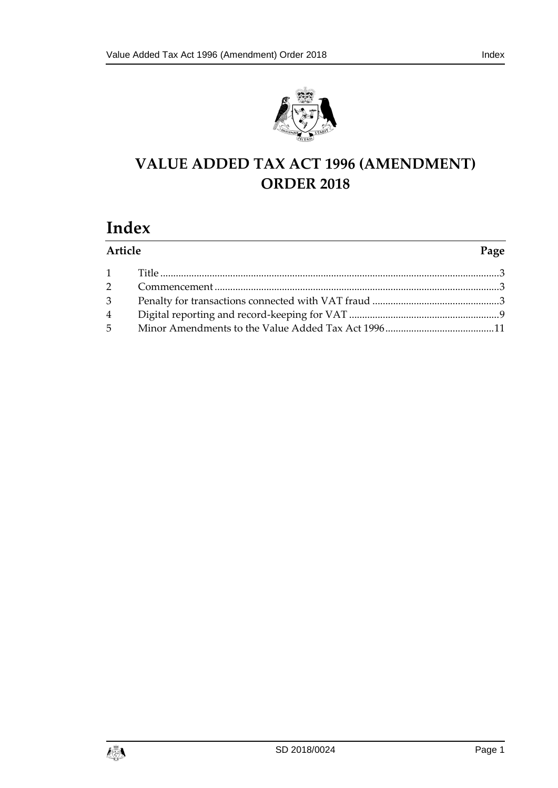

# **VALUE ADDED TAX ACT 1996 (AMENDMENT) ORDER 2018**

# **Index**

| Article | Page |
|---------|------|
|         |      |
|         |      |
|         |      |
|         |      |
|         |      |

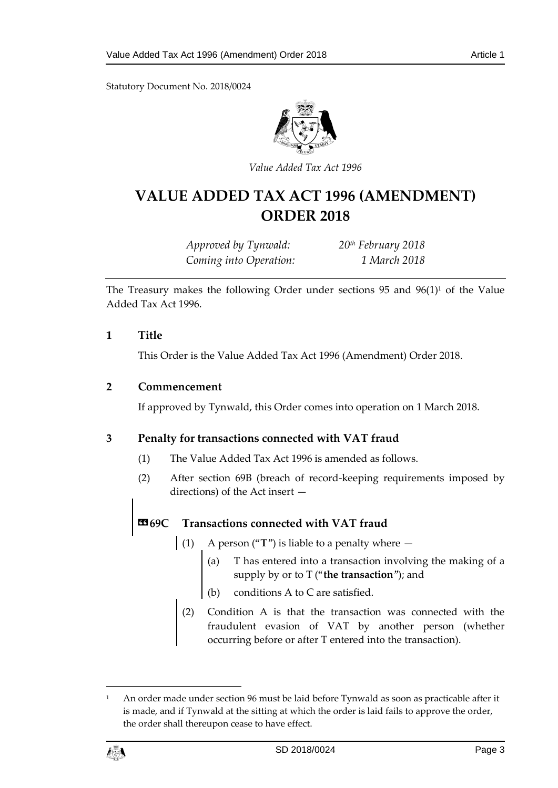Statutory Document No. 2018/0024



*Value Added Tax Act 1996*

# **VALUE ADDED TAX ACT 1996 (AMENDMENT) ORDER 2018**

*Approved by Tynwald: 20th February 2018 Coming into Operation: 1 March 2018*

The Treasury makes the following Order under sections 95 and  $96(1)^1$  of the Value Added Tax Act 1996.

#### <span id="page-2-0"></span>**1 Title**

This Order is the Value Added Tax Act 1996 (Amendment) Order 2018.

#### <span id="page-2-1"></span>**2 Commencement**

If approved by Tynwald, this Order comes into operation on 1 March 2018.

### <span id="page-2-2"></span>**3 Penalty for transactions connected with VAT fraud**

- (1) The Value Added Tax Act 1996 is amended as follows.
- (2) After section 69B (breach of record-keeping requirements imposed by directions) of the Act insert —

## **«69C Transactions connected with VAT fraud**

- (1) A person ("**T**") is liable to a penalty where  $-$ 
	- (a) T has entered into a transaction involving the making of a supply by or to T ("**the transaction**"); and
	- (b) conditions A to C are satisfied.
	- (2) Condition A is that the transaction was connected with the fraudulent evasion of VAT by another person (whether occurring before or after T entered into the transaction).

<sup>&</sup>lt;sup>1</sup> An order made under section 96 must be laid before Tynwald as soon as practicable after it is made, and if Tynwald at the sitting at which the order is laid fails to approve the order, the order shall thereupon cease to have effect.



1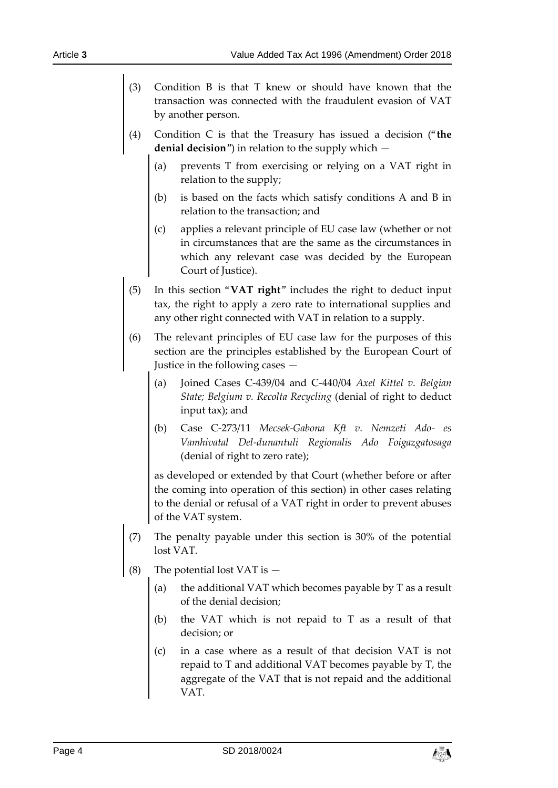- (3) Condition B is that T knew or should have known that the transaction was connected with the fraudulent evasion of VAT by another person.
- (4) Condition C is that the Treasury has issued a decision ("**the denial decision**") in relation to the supply which —
	- (a) prevents T from exercising or relying on a VAT right in relation to the supply;
	- (b) is based on the facts which satisfy conditions A and B in relation to the transaction; and
	- (c) applies a relevant principle of EU case law (whether or not in circumstances that are the same as the circumstances in which any relevant case was decided by the European Court of Justice).
- (5) In this section "**VAT right**" includes the right to deduct input tax, the right to apply a zero rate to international supplies and any other right connected with VAT in relation to a supply.
- (6) The relevant principles of EU case law for the purposes of this section are the principles established by the European Court of Justice in the following cases —
	- (a) Joined Cases C-439/04 and C-440/04 *Axel Kittel v. Belgian State; Belgium v. Recolta Recycling* (denial of right to deduct input tax); and
	- (b) Case C-273/11 *Mecsek-Gabona Kft v. Nemzeti Ado- es Vamhivatal Del-dunantuli Regionalis Ado Foigazgatosaga* (denial of right to zero rate);

as developed or extended by that Court (whether before or after the coming into operation of this section) in other cases relating to the denial or refusal of a VAT right in order to prevent abuses of the VAT system.

- (7) The penalty payable under this section is 30% of the potential lost VAT.
- (8) The potential lost VAT is
	- the additional VAT which becomes payable by  $T$  as a result of the denial decision;
	- (b) the VAT which is not repaid to T as a result of that decision; or
	- (c) in a case where as a result of that decision VAT is not repaid to T and additional VAT becomes payable by T, the aggregate of the VAT that is not repaid and the additional VAT.

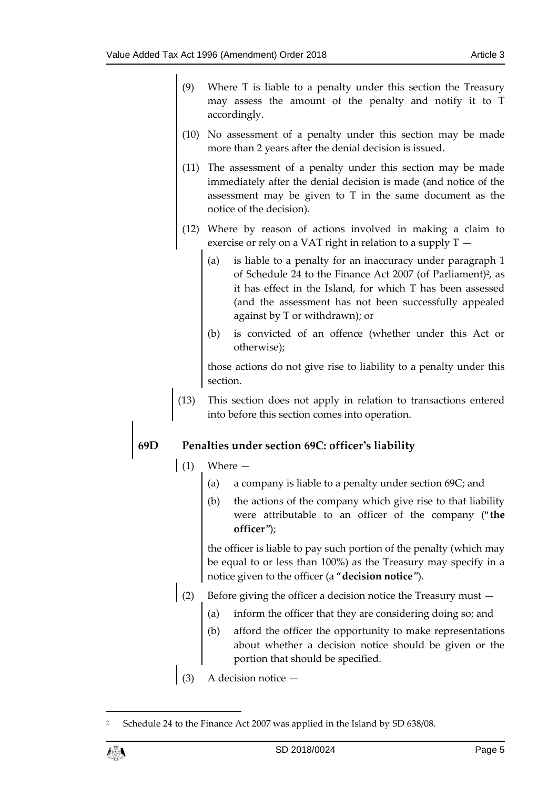- (9) Where T is liable to a penalty under this section the Treasury may assess the amount of the penalty and notify it to T accordingly.
- (10) No assessment of a penalty under this section may be made more than 2 years after the denial decision is issued.
- (11) The assessment of a penalty under this section may be made immediately after the denial decision is made (and notice of the assessment may be given to T in the same document as the notice of the decision).
- (12) Where by reason of actions involved in making a claim to exercise or rely on a VAT right in relation to a supply  $T -$ 
	- (a) is liable to a penalty for an inaccuracy under paragraph 1 of Schedule 24 to the Finance Act 2007 (of Parliament)<sup>2</sup>, as it has effect in the Island, for which T has been assessed (and the assessment has not been successfully appealed against by T or withdrawn); or
	- (b) is convicted of an offence (whether under this Act or otherwise);

those actions do not give rise to liability to a penalty under this section.

(13) This section does not apply in relation to transactions entered into before this section comes into operation.

# **69D Penalties under section 69C: officer's liability**

(1) Where —

- (a) a company is liable to a penalty under section 69C; and
- (b) the actions of the company which give rise to that liability were attributable to an officer of the company ("**the officer**");

the officer is liable to pay such portion of the penalty (which may be equal to or less than 100%) as the Treasury may specify in a notice given to the officer (a "**decision notice**").

- (2) Before giving the officer a decision notice the Treasury must
	- (a) inform the officer that they are considering doing so; and
	- (b) afford the officer the opportunity to make representations about whether a decision notice should be given or the portion that should be specified.
- (3) A decision notice —

1

<sup>2</sup> Schedule 24 to the Finance Act 2007 was applied in the Island by SD 638/08.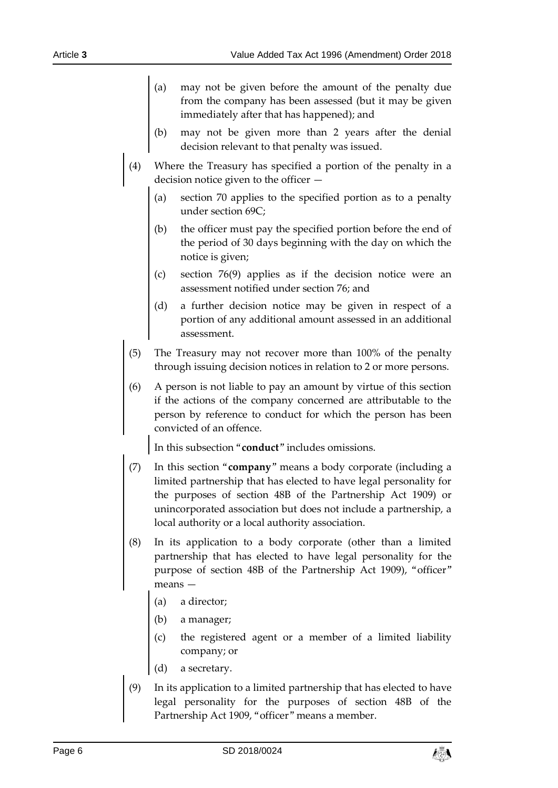- (a) may not be given before the amount of the penalty due from the company has been assessed (but it may be given immediately after that has happened); and
- (b) may not be given more than 2 years after the denial decision relevant to that penalty was issued.
- (4) Where the Treasury has specified a portion of the penalty in a decision notice given to the officer —
	- (a) section 70 applies to the specified portion as to a penalty under section 69C;
	- (b) the officer must pay the specified portion before the end of the period of 30 days beginning with the day on which the notice is given;
	- (c) section 76(9) applies as if the decision notice were an assessment notified under section 76; and
	- (d) a further decision notice may be given in respect of a portion of any additional amount assessed in an additional assessment.
- (5) The Treasury may not recover more than 100% of the penalty through issuing decision notices in relation to 2 or more persons.
- (6) A person is not liable to pay an amount by virtue of this section if the actions of the company concerned are attributable to the person by reference to conduct for which the person has been convicted of an offence.

In this subsection "**conduct**" includes omissions.

- (7) In this section "**company**" means a body corporate (including a limited partnership that has elected to have legal personality for the purposes of section 48B of the Partnership Act 1909) or unincorporated association but does not include a partnership, a local authority or a local authority association.
- (8) In its application to a body corporate (other than a limited partnership that has elected to have legal personality for the purpose of section 48B of the Partnership Act 1909), "officer" means —
	- (a) a director;
	- (b) a manager;
	- (c) the registered agent or a member of a limited liability company; or
	- (d) a secretary.
- (9) In its application to a limited partnership that has elected to have legal personality for the purposes of section 48B of the Partnership Act 1909, "officer" means a member.

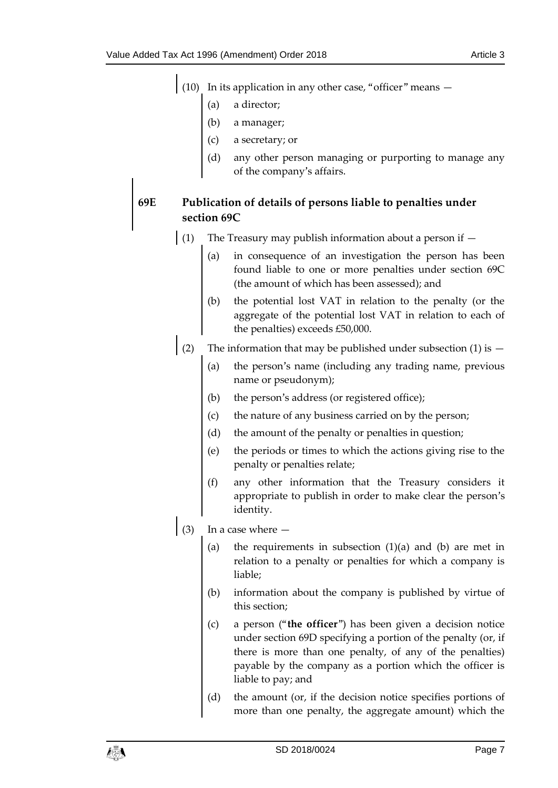$\mathbf{I}$ 

|  | $(10)$ In its application in any other case, "officer" means $-$ |
|--|------------------------------------------------------------------|
|  |                                                                  |

- a director;
- (b) a manager;
- (c) a secretary; or
- any other person managing or purporting to manage any of the company's affairs.

## **69E Publication of details of persons liable to penalties under section 69C**

- (1) The Treasury may publish information about a person if
	- (a) in consequence of an investigation the person has been found liable to one or more penalties under section 69C (the amount of which has been assessed); and
	- (b) the potential lost VAT in relation to the penalty (or the aggregate of the potential lost VAT in relation to each of the penalties) exceeds £50,000.
- (2) The information that may be published under subsection (1) is  $-$ 
	- (a) the person's name (including any trading name, previous name or pseudonym);
	- (b) the person's address (or registered office);
	- (c) the nature of any business carried on by the person;
	- (d) the amount of the penalty or penalties in question;
	- (e) the periods or times to which the actions giving rise to the penalty or penalties relate;
	- (f) any other information that the Treasury considers it appropriate to publish in order to make clear the person's identity.
- $(3)$  In a case where  $-$ 
	- (a) the requirements in subsection  $(1)(a)$  and  $(b)$  are met in relation to a penalty or penalties for which a company is liable;
	- (b) information about the company is published by virtue of this section;
	- (c) a person ("**the officer**") has been given a decision notice under section 69D specifying a portion of the penalty (or, if there is more than one penalty, of any of the penalties) payable by the company as a portion which the officer is liable to pay; and
	- (d) the amount (or, if the decision notice specifies portions of more than one penalty, the aggregate amount) which the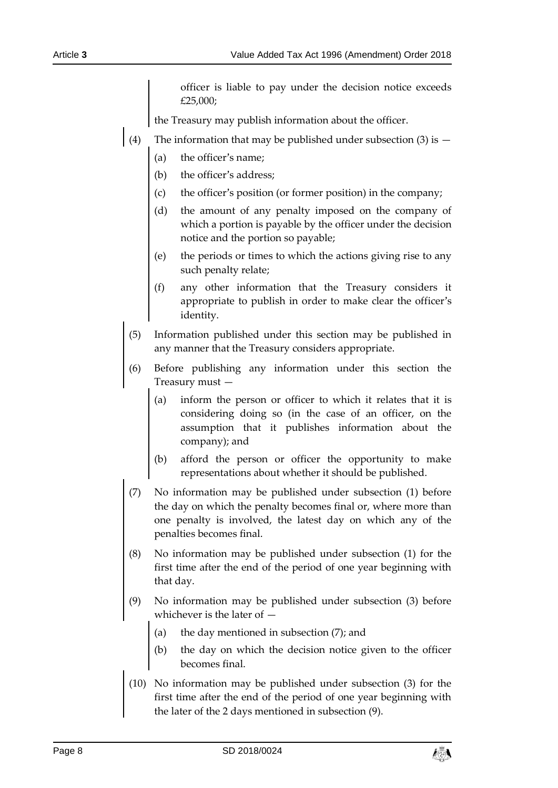officer is liable to pay under the decision notice exceeds £25,000;

the Treasury may publish information about the officer.

- (4) The information that may be published under subsection (3) is  $-$ 
	- (a) the officer's name;
	- (b) the officer's address;
	- (c) the officer's position (or former position) in the company;
	- (d) the amount of any penalty imposed on the company of which a portion is payable by the officer under the decision notice and the portion so payable;
	- (e) the periods or times to which the actions giving rise to any such penalty relate;
	- (f) any other information that the Treasury considers it appropriate to publish in order to make clear the officer's identity.
	- (5) Information published under this section may be published in any manner that the Treasury considers appropriate.
- (6) Before publishing any information under this section the Treasury must —
	- (a) inform the person or officer to which it relates that it is considering doing so (in the case of an officer, on the assumption that it publishes information about the company); and
	- (b) afford the person or officer the opportunity to make representations about whether it should be published.
- (7) No information may be published under subsection (1) before the day on which the penalty becomes final or, where more than one penalty is involved, the latest day on which any of the penalties becomes final.
- (8) No information may be published under subsection (1) for the first time after the end of the period of one year beginning with that day.
- (9) No information may be published under subsection (3) before whichever is the later of —
	- (a) the day mentioned in subsection  $(7)$ ; and
	- (b) the day on which the decision notice given to the officer becomes final.
- (10) No information may be published under subsection (3) for the first time after the end of the period of one year beginning with the later of the 2 days mentioned in subsection (9).

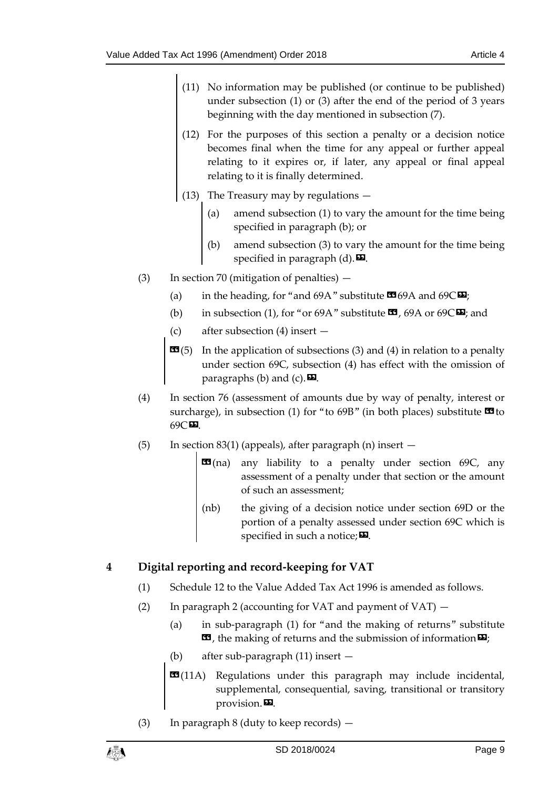- (11) No information may be published (or continue to be published) under subsection (1) or (3) after the end of the period of 3 years beginning with the day mentioned in subsection (7).
- (12) For the purposes of this section a penalty or a decision notice becomes final when the time for any appeal or further appeal relating to it expires or, if later, any appeal or final appeal relating to it is finally determined.
- (13) The Treasury may by regulations
	- (a) amend subsection (1) to vary the amount for the time being specified in paragraph (b); or
	- (b) amend subsection (3) to vary the amount for the time being specified in paragraph  $(d)$ .
- (3) In section 70 (mitigation of penalties)
	- (a) in the heading, for "and 69A" substitute  $\mathbf{C}$  69A and 69C $\mathbf{D}$ ;
	- (b) in subsection (1), for "or 69A" substitute  $\mathbf{\Omega}$ , 69A or 69C $\mathbf{\Omega}$ ; and
	- (c) after subsection (4) insert —
	- $\mathbf{G}(5)$  In the application of subsections (3) and (4) in relation to a penalty under section 69C, subsection (4) has effect with the omission of paragraphs (b) and (c).  $\mathbf{E}$ .
- (4) In section 76 (assessment of amounts due by way of penalty, interest or surcharge), in subsection (1) for "to 69B" (in both places) substitute  $\blacksquare$  to 69C».
- (5) In section 83(1) (appeals), after paragraph (n) insert  $-$ 
	- $\mathbf{G}(n)$  any liability to a penalty under section 69C, any assessment of a penalty under that section or the amount of such an assessment;
	- (nb) the giving of a decision notice under section 69D or the portion of a penalty assessed under section 69C which is specified in such a notice;  $\mathbf{E}$ .

## <span id="page-8-0"></span>**4 Digital reporting and record-keeping for VAT**

- (1) Schedule 12 to the Value Added Tax Act 1996 is amended as follows.
- (2) In paragraph 2 (accounting for VAT and payment of VAT)
	- (a) in sub-paragraph (1) for "and the making of returns" substitute **ED**, the making of returns and the submission of information  $\Sigma$ ;
	- (b) after sub-paragraph (11) insert —
	- **EG**(11A) Regulations under this paragraph may include incidental, supplemental, consequential, saving, transitional or transitory provision. $\mathbf{D}$ .
- (3) In paragraph 8 (duty to keep records)  $-$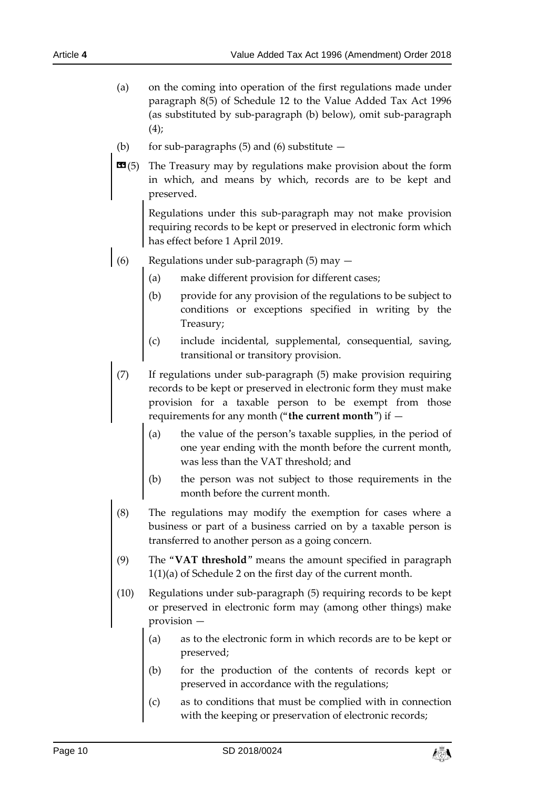- (a) on the coming into operation of the first regulations made under paragraph 8(5) of Schedule 12 to the Value Added Tax Act 1996 (as substituted by sub-paragraph (b) below), omit sub-paragraph  $(4)$ ;
- (b) for sub-paragraphs  $(5)$  and  $(6)$  substitute  $-$
- **EE**(5) The Treasury may by regulations make provision about the form in which, and means by which, records are to be kept and preserved.

Regulations under this sub-paragraph may not make provision requiring records to be kept or preserved in electronic form which has effect before 1 April 2019.

- (6) Regulations under sub-paragraph  $(5)$  may  $-$ 
	- (a) make different provision for different cases;
	- (b) provide for any provision of the regulations to be subject to conditions or exceptions specified in writing by the Treasury;
	- (c) include incidental, supplemental, consequential, saving, transitional or transitory provision.
	- (7) If regulations under sub-paragraph (5) make provision requiring records to be kept or preserved in electronic form they must make provision for a taxable person to be exempt from those requirements for any month ("**the current month**") if —
		- (a) the value of the person's taxable supplies, in the period of one year ending with the month before the current month, was less than the VAT threshold; and
		- (b) the person was not subject to those requirements in the month before the current month.
	- (8) The regulations may modify the exemption for cases where a business or part of a business carried on by a taxable person is transferred to another person as a going concern.
	- (9) The "**VAT threshold**" means the amount specified in paragraph 1(1)(a) of Schedule 2 on the first day of the current month.
	- (10) Regulations under sub-paragraph (5) requiring records to be kept or preserved in electronic form may (among other things) make provision —
		- (a) as to the electronic form in which records are to be kept or preserved;
		- (b) for the production of the contents of records kept or preserved in accordance with the regulations;
		- (c) as to conditions that must be complied with in connection with the keeping or preservation of electronic records;

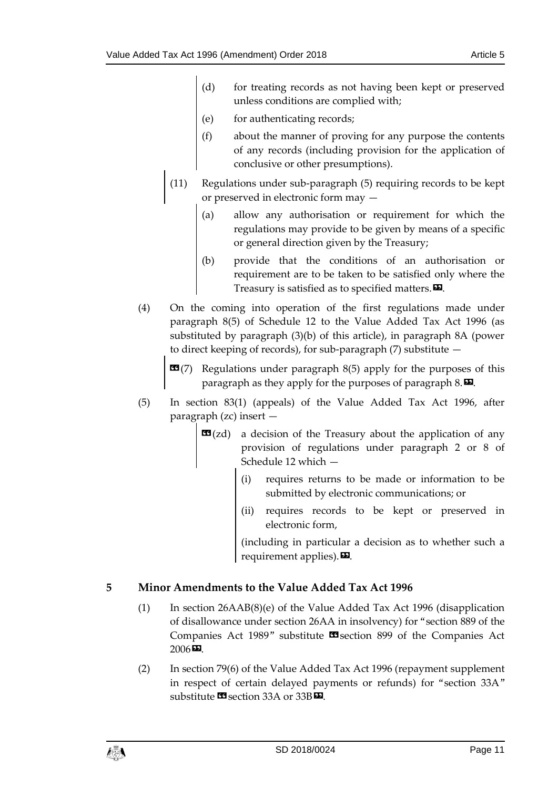- (d) for treating records as not having been kept or preserved unless conditions are complied with;
- (e) for authenticating records;
- (f) about the manner of proving for any purpose the contents of any records (including provision for the application of conclusive or other presumptions).
- (11) Regulations under sub-paragraph (5) requiring records to be kept or preserved in electronic form may —
	- (a) allow any authorisation or requirement for which the regulations may provide to be given by means of a specific or general direction given by the Treasury;
	- (b) provide that the conditions of an authorisation or requirement are to be taken to be satisfied only where the Treasury is satisfied as to specified matters. $\boldsymbol{\mathsf{\Xi}}$ .
- (4) On the coming into operation of the first regulations made under paragraph 8(5) of Schedule 12 to the Value Added Tax Act 1996 (as substituted by paragraph (3)(b) of this article), in paragraph 8A (power to direct keeping of records), for sub-paragraph (7) substitute —
	- **(7) Regulations under paragraph 8(5) apply for the purposes of this** paragraph as they apply for the purposes of paragraph  $8. \blacksquare$ .
- (5) In section 83(1) (appeals) of the Value Added Tax Act 1996, after paragraph (zc) insert —
	- **E9**(zd) a decision of the Treasury about the application of any provision of regulations under paragraph 2 or 8 of Schedule 12 which —
		- (i) requires returns to be made or information to be submitted by electronic communications; or
		- (ii) requires records to be kept or preserved in electronic form,

(including in particular a decision as to whether such a requirement applies). $\boldsymbol{\mathsf{\Xi}}$ .

# <span id="page-10-0"></span>**5 Minor Amendments to the Value Added Tax Act 1996**

- (1) In section 26AAB(8)(e) of the Value Added Tax Act 1996 (disapplication of disallowance under section 26AA in insolvency) for "section 889 of the Companies Act 1989" substitute **II** section 899 of the Companies Act  $2006 \, \text{CD}$ .
- (2) In section 79(6) of the Value Added Tax Act 1996 (repayment supplement in respect of certain delayed payments or refunds) for "section 33A" substitute **II** section 33A or 33B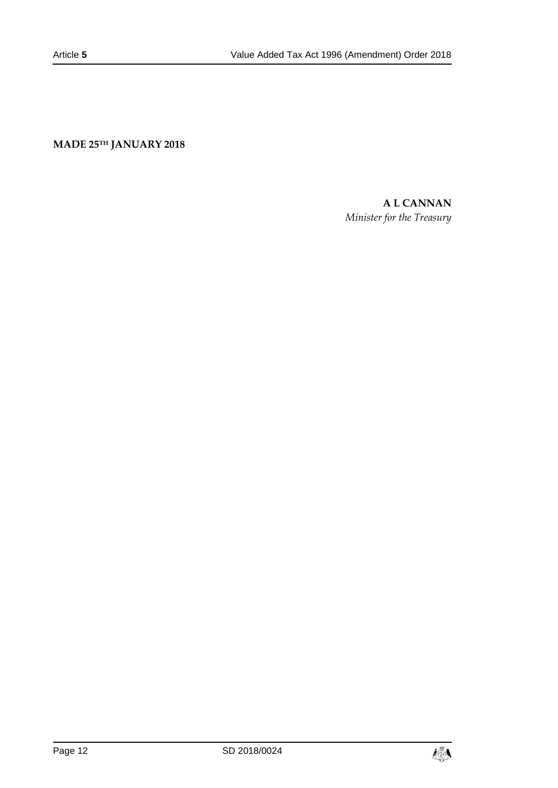**MADE 25TH JANUARY 2018**

## **A L CANNAN**

*Minister for the Treasury*